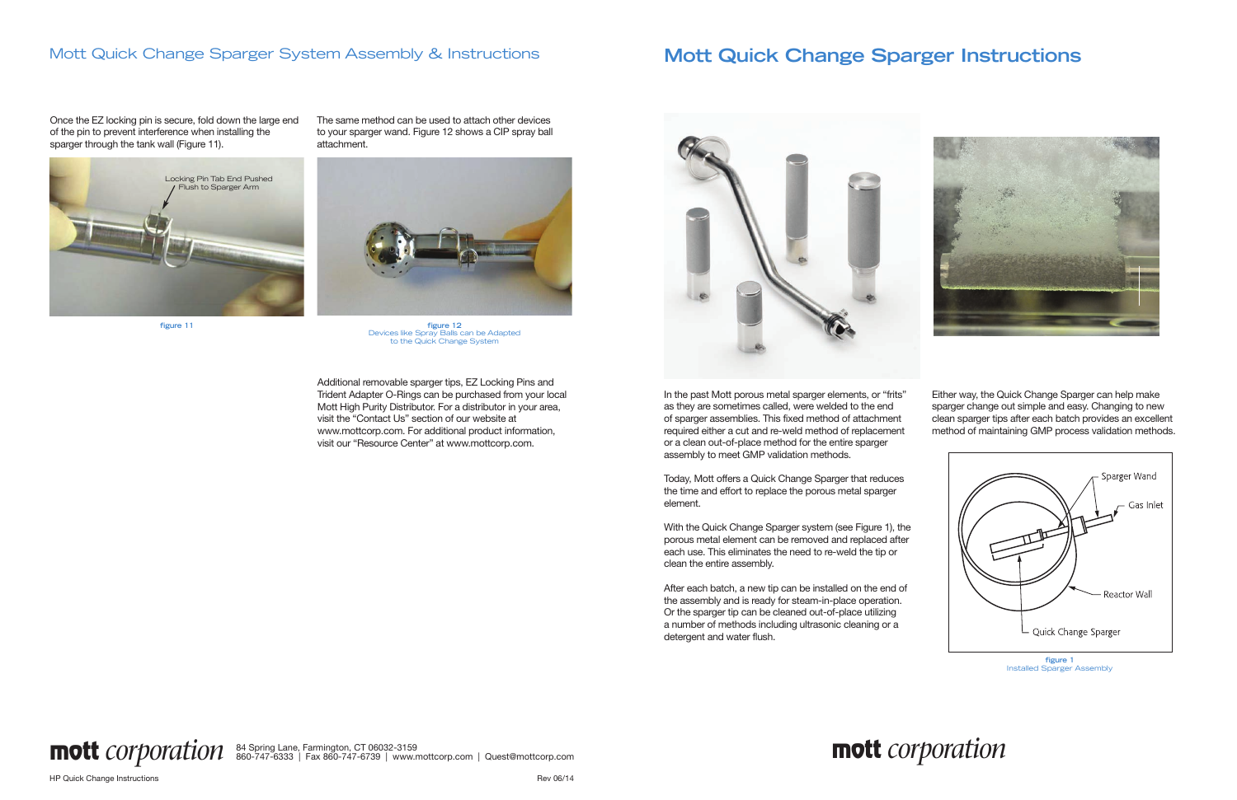



# **Mott Quick Change Sparger Instructions**

In the past Mott porous metal sparger elements, or "frits" as they are sometimes called, were welded to the end of sparger assemblies. This fixed method of attachment required either a cut and re-weld method of replacement or a clean out-of-place method for the entire sparger assembly to meet GMP validation methods.

Today, Mott offers a Quick Change Sparger that reduces the time and effort to replace the porous metal sparger element.

With the Quick Change Sparger system (see Figure 1), the porous metal element can be removed and replaced after each use. This eliminates the need to re-weld the tip or clean the entire assembly.

After each batch, a new tip can be installed on the end of the assembly and is ready for steam-in-place operation. Or the sparger tip can be cleaned out-of-place utilizing a number of methods including ultrasonic cleaning or a detergent and water flush.

Either way, the Quick Change Sparger can help make sparger change out simple and easy. Changing to new clean sparger tips after each batch provides an excellent method of maintaining GMP process validation methods.

84 Spring Lane, Farmington, CT 06032-3159 **mott** *corporation* 860-747-6333 | Fax 860-747-6739 | www.mottcorp.com | Quest@mottcorp.com



Installed Sparger Assembly

**figure 11**

Additional removable sparger tips, EZ Locking Pins and Trident Adapter O-Rings can be purchased from your local Mott High Purity Distributor. For a distributor in your area, visit the "Contact Us" section of our website at www.mottcorp.com. For additional product information, visit our "Resource Center" at www.mottcorp.com.



The same method can be used to attach other devices to your sparger wand. Figure 12 shows a CIP spray ball attachment.

Once the EZ locking pin is secure, fold down the large end of the pin to prevent interference when installing the sparger through the tank wall (Figure 11).

### Mott Quick Change Sparger System Assembly & Instructions





**figure 12** Devices like Spray Balls can be Adapted to the Quick Change System